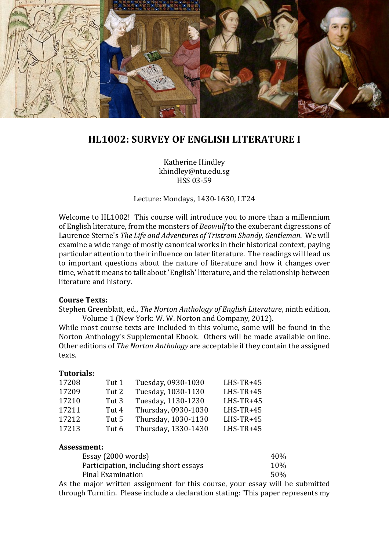

# **HL1002: SURVEY OF ENGLISH LITERATURE I**

Katherine Hindley khindley@ntu.edu.sg HSS 03-59

Lecture: Mondays, 1430-1630, LT24

Welcome to HL1002! This course will introduce you to more than a millennium of English literature, from the monsters of *Beowulf* to the exuberant digressions of Laurence Sterne's *The Life and Adventures of Tristram Shandy, Gentleman*. We will examine a wide range of mostly canonical works in their historical context, paying particular attention to their influence on later literature. The readings will lead us to important questions about the nature of literature and how it changes over time, what it means to talk about 'English' literature, and the relationship between literature and history.

#### **Course Texts:**

Stephen Greenblatt, ed., *The Norton Anthology of English Literature*, ninth edition, Volume 1 (New York: W. W. Norton and Company, 2012).

While most course texts are included in this volume, some will be found in the Norton Anthology's Supplemental Ebook. Others will be made available online. Other editions of *The Norton Anthology* are acceptable if they contain the assigned texts.

### **Tutorials:**

| 17208 | Tut 1 | Tuesday, 0930-1030  | $LHS-TR+45$ |
|-------|-------|---------------------|-------------|
| 17209 | Tut 2 | Tuesday, 1030-1130  | $LHS-TR+45$ |
| 17210 | Tut 3 | Tuesday, 1130-1230  | $LHS-TR+45$ |
| 17211 | Tut 4 | Thursday, 0930-1030 | $LHS-TR+45$ |
| 17212 | Tut 5 | Thursday, 1030-1130 | $LHS-TR+45$ |
| 17213 | Tut 6 | Thursday, 1330-1430 | $LHS-TR+45$ |
|       |       |                     |             |

#### **Assessment:**

| Essay (2000 words)                    | 40% |
|---------------------------------------|-----|
| Participation, including short essays | 10% |
| Final Examination                     | 50% |

As the major written assignment for this course, your essay will be submitted through Turnitin. Please include a declaration stating: 'This paper represents my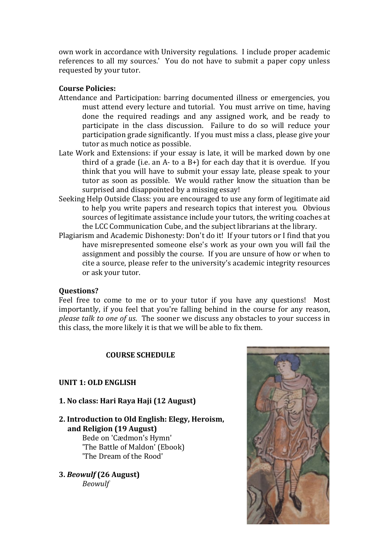own work in accordance with University regulations. I include proper academic references to all my sources.' You do not have to submit a paper copy unless requested by your tutor.

### **Course Policies:**

- Attendance and Participation: barring documented illness or emergencies, you must attend every lecture and tutorial. You must arrive on time, having done the required readings and any assigned work, and be ready to participate in the class discussion. Failure to do so will reduce your participation grade significantly. If you must miss a class, please give your tutor as much notice as possible.
- Late Work and Extensions: if your essay is late, it will be marked down by one third of a grade (i.e. an  $A$ - to a  $B$ +) for each day that it is overdue. If you think that you will have to submit your essay late, please speak to your tutor as soon as possible. We would rather know the situation than be surprised and disappointed by a missing essay!
- Seeking Help Outside Class: you are encouraged to use any form of legitimate aid to help you write papers and research topics that interest you. Obvious sources of legitimate assistance include your tutors, the writing coaches at the LCC Communication Cube, and the subject librarians at the library.
- Plagiarism and Academic Dishonesty: Don't do it! If your tutors or I find that you have misrepresented someone else's work as your own you will fail the assignment and possibly the course. If you are unsure of how or when to cite a source, please refer to the university's academic integrity resources or ask your tutor.

#### **Questions?**

Feel free to come to me or to your tutor if you have any questions! Most importantly, if you feel that you're falling behind in the course for any reason, *please talk to one of us*. The sooner we discuss any obstacles to your success in this class, the more likely it is that we will be able to fix them.

### **COURSE SCHEDULE**

#### **UNIT 1: OLD ENGLISH**

**1. No class: Hari Raya Haji (12 August)**

# **2. Introduction to Old English: Elegy, Heroism, and Religion (19 August)**

Bede on 'Cædmon's Hymn' 'The Battle of Maldon' (Ebook) 'The Dream of the Rood'

**3.** *Beowulf* **(26 August)** *Beowulf*

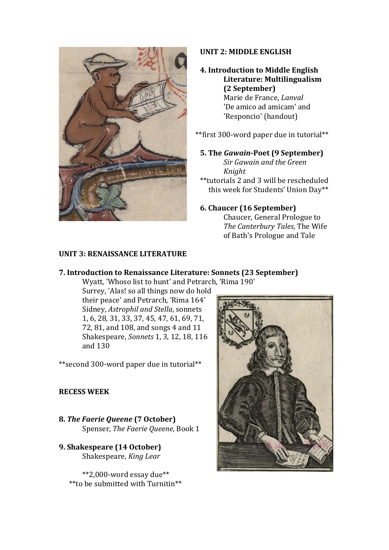

## **UNIT 2: MIDDLE ENGLISH**

## **4. Introduction to Middle English Literature: Multilingualism (2 September)** Marie de France, *Lanval* 'De amico ad amicam' and 'Responcio' (handout)

\*\*first 300-word paper due in tutorial\*\*

**5. The** *Gawain***-Poet (9 September)** *Sir Gawain and the Green Knight*

\*\*tutorials 2 and 3 will be rescheduled this week for Students' Union Day\*\*

# **6. Chaucer (16 September)**

Chaucer, General Prologue to *The Canterbury Tales*, The Wife of Bath's Prologue and Tale

### **UNIT 3: RENAISSANCE LITERATURE**

## **7. Introduction to Renaissance Literature: Sonnets (23 September)**

Wyatt, 'Whoso list to hunt' and Petrarch, 'Rima 190'

Surrey, 'Alas! so all things now do hold their peace' and Petrarch, 'Rima 164' Sidney, *Astrophil and Stella*, sonnets 1, 6, 28, 31, 33, 37, 45, 47, 61, 69, 71, 72, 81, and 108, and songs 4 and 11 Shakespeare, *Sonnets* 1, 3, 12, 18, 116 and 130

\*\*second 300-word paper due in tutorial\*\*

## **RECESS WEEK**

- **8.** *The Faerie Queene* **(7 October)** Spenser, *The Faerie Queene*, Book 1
- **9. Shakespeare (14 October)** Shakespeare, *King Lear*

\*\*2,000-word essay due\*\* \*\*to be submitted with Turnitin\*\*